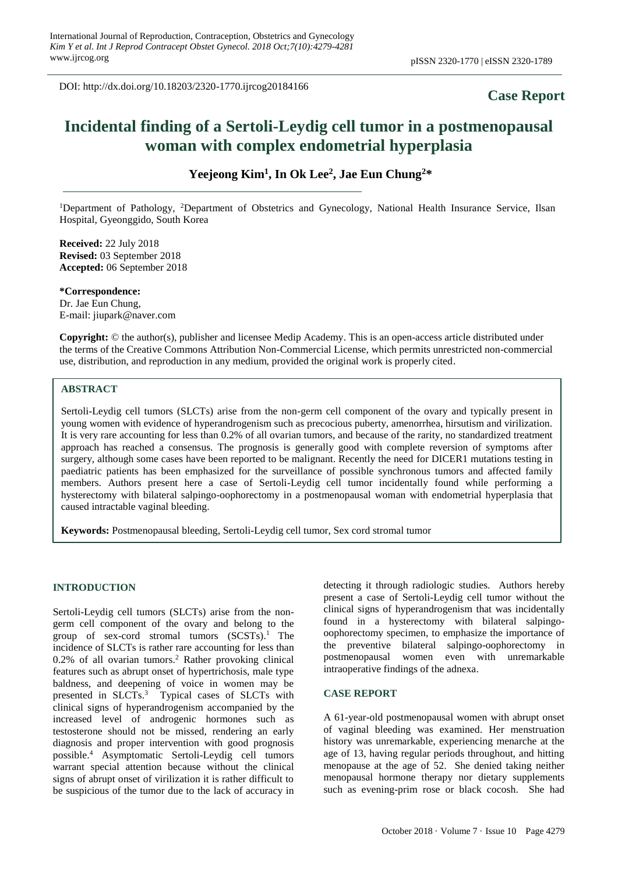DOI: http://dx.doi.org/10.18203/2320-1770.ijrcog20184166

# **Case Report**

# **Incidental finding of a Sertoli-Leydig cell tumor in a postmenopausal woman with complex endometrial hyperplasia**

**Yeejeong Kim<sup>1</sup> , In Ok Lee<sup>2</sup> , Jae Eun Chung<sup>2</sup>\***

<sup>1</sup>Department of Pathology, <sup>2</sup>Department of Obstetrics and Gynecology, National Health Insurance Service, Ilsan Hospital, Gyeonggido, South Korea

**Received:** 22 July 2018 **Revised:** 03 September 2018 **Accepted:** 06 September 2018

**\*Correspondence:** Dr. Jae Eun Chung, E-mail: jiupark@naver.com

**Copyright:** © the author(s), publisher and licensee Medip Academy. This is an open-access article distributed under the terms of the Creative Commons Attribution Non-Commercial License, which permits unrestricted non-commercial use, distribution, and reproduction in any medium, provided the original work is properly cited.

### **ABSTRACT**

Sertoli-Leydig cell tumors (SLCTs) arise from the non-germ cell component of the ovary and typically present in young women with evidence of hyperandrogenism such as precocious puberty, amenorrhea, hirsutism and virilization. It is very rare accounting for less than 0.2% of all ovarian tumors, and because of the rarity, no standardized treatment approach has reached a consensus. The prognosis is generally good with complete reversion of symptoms after surgery, although some cases have been reported to be malignant. Recently the need for DICER1 mutations testing in paediatric patients has been emphasized for the surveillance of possible synchronous tumors and affected family members. Authors present here a case of Sertoli-Leydig cell tumor incidentally found while performing a hysterectomy with bilateral salpingo-oophorectomy in a postmenopausal woman with endometrial hyperplasia that caused intractable vaginal bleeding.

**Keywords:** Postmenopausal bleeding, Sertoli-Leydig cell tumor, Sex cord stromal tumor

### **INTRODUCTION**

Sertoli-Leydig cell tumors (SLCTs) arise from the nongerm cell component of the ovary and belong to the group of sex-cord stromal tumors (SCSTs).<sup>1</sup> The incidence of SLCTs is rather rare accounting for less than 0.2% of all ovarian tumors. <sup>2</sup> Rather provoking clinical features such as abrupt onset of hypertrichosis, male type baldness, and deepening of voice in women may be presented in SLCTs.<sup>3</sup> Typical cases of SLCTs with clinical signs of hyperandrogenism accompanied by the increased level of androgenic hormones such as testosterone should not be missed, rendering an early diagnosis and proper intervention with good prognosis possible. <sup>4</sup> Asymptomatic Sertoli-Leydig cell tumors warrant special attention because without the clinical signs of abrupt onset of virilization it is rather difficult to be suspicious of the tumor due to the lack of accuracy in detecting it through radiologic studies. Authors hereby present a case of Sertoli-Leydig cell tumor without the clinical signs of hyperandrogenism that was incidentally found in a hysterectomy with bilateral salpingooophorectomy specimen, to emphasize the importance of the preventive bilateral salpingo-oophorectomy in postmenopausal women even with unremarkable intraoperative findings of the adnexa.

#### **CASE REPORT**

A 61-year-old postmenopausal women with abrupt onset of vaginal bleeding was examined. Her menstruation history was unremarkable, experiencing menarche at the age of 13, having regular periods throughout, and hitting menopause at the age of 52. She denied taking neither menopausal hormone therapy nor dietary supplements such as evening-prim rose or black cocosh. She had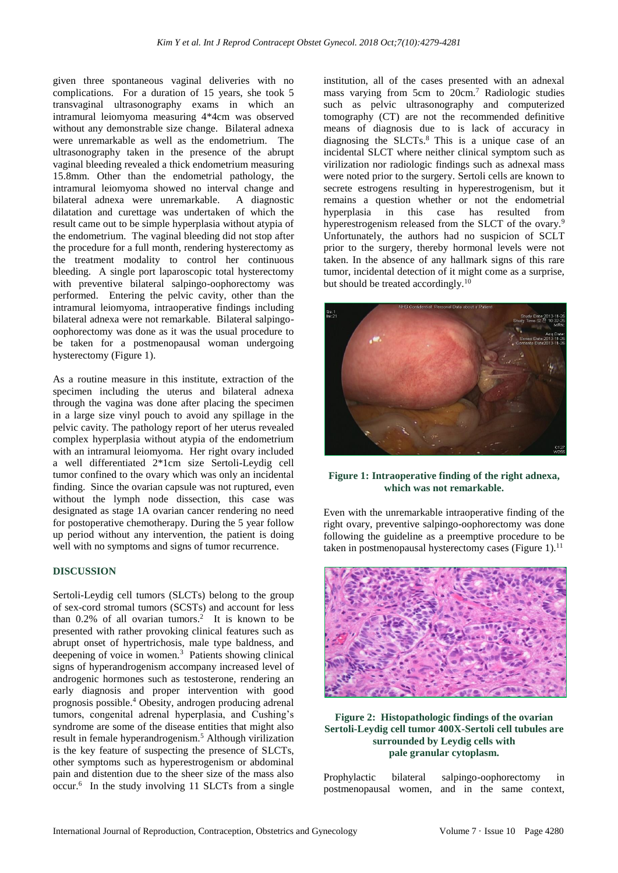given three spontaneous vaginal deliveries with no complications. For a duration of 15 years, she took 5 transvaginal ultrasonography exams in which an intramural leiomyoma measuring 4\*4cm was observed without any demonstrable size change. Bilateral adnexa were unremarkable as well as the endometrium. The ultrasonography taken in the presence of the abrupt vaginal bleeding revealed a thick endometrium measuring 15.8mm. Other than the endometrial pathology, the intramural leiomyoma showed no interval change and bilateral adnexa were unremarkable. A diagnostic dilatation and curettage was undertaken of which the result came out to be simple hyperplasia without atypia of the endometrium. The vaginal bleeding did not stop after the procedure for a full month, rendering hysterectomy as the treatment modality to control her continuous bleeding. A single port laparoscopic total hysterectomy with preventive bilateral salpingo-oophorectomy was performed. Entering the pelvic cavity, other than the intramural leiomyoma, intraoperative findings including bilateral adnexa were not remarkable. Bilateral salpingooophorectomy was done as it was the usual procedure to be taken for a postmenopausal woman undergoing hysterectomy (Figure 1).

As a routine measure in this institute, extraction of the specimen including the uterus and bilateral adnexa through the vagina was done after placing the specimen in a large size vinyl pouch to avoid any spillage in the pelvic cavity. The pathology report of her uterus revealed complex hyperplasia without atypia of the endometrium with an intramural leiomyoma. Her right ovary included a well differentiated 2\*1cm size Sertoli-Leydig cell tumor confined to the ovary which was only an incidental finding. Since the ovarian capsule was not ruptured, even without the lymph node dissection, this case was designated as stage 1A ovarian cancer rendering no need for postoperative chemotherapy. During the 5 year follow up period without any intervention, the patient is doing well with no symptoms and signs of tumor recurrence.

#### **DISCUSSION**

Sertoli-Leydig cell tumors (SLCTs) belong to the group of sex-cord stromal tumors (SCSTs) and account for less than  $0.2\%$  of all ovarian tumors.<sup>2</sup> It is known to be presented with rather provoking clinical features such as abrupt onset of hypertrichosis, male type baldness, and deepening of voice in women.<sup>3</sup> Patients showing clinical signs of hyperandrogenism accompany increased level of androgenic hormones such as testosterone, rendering an early diagnosis and proper intervention with good prognosis possible. <sup>4</sup> Obesity, androgen producing adrenal tumors, congenital adrenal hyperplasia, and Cushing's syndrome are some of the disease entities that might also result in female hyperandrogenism.<sup>5</sup> Although virilization is the key feature of suspecting the presence of SLCTs, other symptoms such as hyperestrogenism or abdominal pain and distention due to the sheer size of the mass also occur. 6 In the study involving 11 SLCTs from a single institution, all of the cases presented with an adnexal mass varying from 5cm to 20cm.<sup>7</sup> Radiologic studies such as pelvic ultrasonography and computerized tomography (CT) are not the recommended definitive means of diagnosis due to is lack of accuracy in diagnosing the SLCTs.<sup>8</sup> This is a unique case of an incidental SLCT where neither clinical symptom such as virilization nor radiologic findings such as adnexal mass were noted prior to the surgery. Sertoli cells are known to secrete estrogens resulting in hyperestrogenism, but it remains a question whether or not the endometrial hyperplasia in this case has resulted from hyperestrogenism released from the SLCT of the ovary.<sup>9</sup> Unfortunately, the authors had no suspicion of SCLT prior to the surgery, thereby hormonal levels were not taken. In the absence of any hallmark signs of this rare tumor, incidental detection of it might come as a surprise, but should be treated accordingly. $10<sup>10</sup>$ 



**Figure 1: Intraoperative finding of the right adnexa, which was not remarkable.**

Even with the unremarkable intraoperative finding of the right ovary, preventive salpingo-oophorectomy was done following the guideline as a preemptive procedure to be taken in postmenopausal hysterectomy cases (Figure  $1$ ).<sup>11</sup>



**Figure 2: Histopathologic findings of the ovarian Sertoli-Leydig cell tumor 400X-Sertoli cell tubules are surrounded by Leydig cells with pale granular cytoplasm.**

Prophylactic bilateral salpingo-oophorectomy in postmenopausal women, and in the same context,